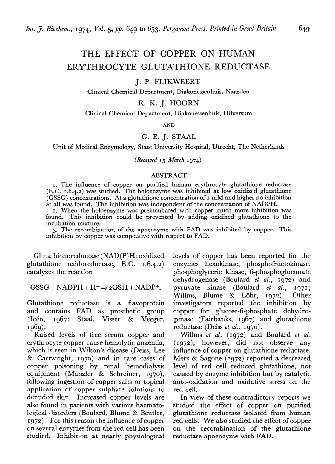# **THE EFFECT OF COPPER ON HUMAN ERYTHROCYTE GLUTATHIONE REDUCTASE**

# J. P. FLIKWEERT

Clinical Chemical Department, Diakonessenhuis, Naarden

# R. K. J. HOORN

#### Clinical Chemical Department, Diakonessenhuis, Hilversum

**AND** 

#### G. E. J. STAAL

Unit of Medical Enzymology, State University Hospital, Utrecht, The Netherlands

*(Received* **15** *March 1974)* 

## ABSTRACT

I. The influence of copper on purified human erythrocyte glutathione reductase (E.C. 1.6.4.2) was studied. The holoenzyme was inhibited at low oxidized glutathione (GSSG) concentrations. At a glutathione concentration of I mM and higher no inhibition at all was found. The inhibition was independent of the concentration of NADPH.

**2.** When the holoenzyme was preincubated with copper much more inhibition was found. This inhibition could be prevented by adding oxidized glutathione to the incubation mixture.

3. The recombination of the apoenzyme with FAD was inhibited by copper. This inhibition by copper was competitive with respect to FAD.

Glutathionereductase (NAD(P)H: oxidized glutathione oxidoreductase, E.C. 1.6.4.2) catalyzes the reaction

## $GSSG + NADPH + H^+ \Rightarrow 2GSH + NADP^+.$

Glutathione reductase is a flavoprotein and contains FAD as prosthetic group (Icén, 1967; Staal, Visser & Veeger, 1969) -

Raised levels of free serum copper and erythrocyte copper cause hemolytic anaemia, which is seen in Wilson's disease (Deiss, Lee & Cartwright, 1970) and in rare cases of copper poisoning by renal hemodialysis equipment (Manzler & Schreiner, 1g7o), following ingestion of copper salts or topical application of copper sulphate solutions to denuded skin. Increased copper levels are also found in patients with various haematological disorders (Boulard, Blume & Beutler, r 972). For this reason the influence of copper on several enzymes from the red cell has been studied. Inhibition at nearly physiological levels of copper has been reported for the enzymes hexokinase, phosphofructokinase, phosphoglyceric kinase, 6-phosphogluconate dehydrogenase (Boulard *et al., 1972)* and pyruvate kinase (Boulard et al., 1972; Willms, Blume & Lohr, 1972). Other investigators reported the inhibition by copper for glucose-6-phosphate dehydrogenase (Fairbanks, 1967) and glutathione reductase (Deiss *et al., 1970).* 

Willms *et al. (1972)* and Boulard *et al. (I* **gp),** however, did not observe any influence of copper on glutathione reductase. Metz & Sagone (1972) reported a decreased level of red cell reduced glutathione, not caused by enzyme inhibition but by catalytic auto-oxidation and oxidative stress on the red cell.

In view of these contradictory reports we studied the effect of copper on purified glutathione reductase isolated from human red cells. We also studied the effect of copper on the recombination of the glutathione reductase apoenzyme with FAD.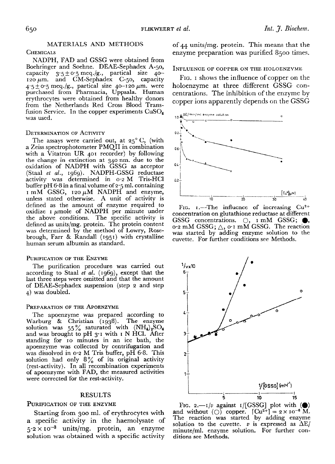NADPH, FAD and GSSG were obtained from Boehringer and Soehne. DEAE-Sephadex A-50, capacity  $3.5 \pm 0.5$  meq./g., partical size  $40-$ 120  $\mu$ m. and CM-Sephadex C-50, capacity  $4.5 \pm 0.5$  meq./g., partical size 40-120  $\mu$ m. were purchased from Pharmacia, Uppsala. Huma: erythrocytes were obtained from healthy donors from the Netherlands Red Cross Blood Transfusion Service. In the copper experiments  $CuSO<sub>4</sub>$ was used.

#### DETERMINATION OF ACTIVITY

The assays were carried out, at  $25^{\circ}$  C, (with a Zeiss spectrophotometer PMQII in combination with a Vitatron UR 401 recorder) by following the change in extinction at 340 nm. due to the oxidation of NADPH with GSSG as acceptor (Staal et al., 1969). NADPH-GSSG reductase activity was determined in 02 M Tris-HCl buffer pH  $6.8$  in a final volume of  $2.5$  ml. containing  $I$  mM GSSG,  $I20 \mu M$  NADPH and enzyme, unless stated otherwise. A unit of activity is defined as the amount of enzyme required to oxidize  $\iota$   $\mu$ mole of NADPH per minute under the above conditions. The specific activity is defined as units/mg. protein. The protein content was determined by the method of Lowry, Rosebrough, Farr & Randall **(195 I)** with crystalline human serum albumin as standard.

## PURIFICATION OF THE ENZYME

The purification procedure was carried out according to Staal et al. (rg6g), except that the last three steps were omitted and that the amount of DEAE-Sephadex suspension (step 2 and step 4) was doubled.

#### PREPARATION OF THE APOENZYME

The apoenzyme was prepared according to Warburg & Christian (1938). The enzyme solution was 55% saturated with  $(NH_4)_2$ and was brought to pH  $3.1$  with I N HCl. After standing for IO minutes in an ice bath, the apoenzyme was collected by centrifugation and was dissolved in 0'2 M Tris buffer, pH 6.8. This solution had only  $8\%$  of its original activity (rest-activity). In all recombination experimen of apoenzyme with FAD, the measured activities were corrected for the rest-activity.

#### RESULTS

#### PURIFICATION OF THE ENZYME

Starting from 300 ml. of erythrocytes with a specific activity in the haemolysate of  $5.2 \times 10^{-3}$  units/mg. protein, an enzyme solution was obtained with a specific activity

**MATERIALS AND METHODS** of 44 units/mg. protein. This means that the CHEMICALS **EXECUTE:** enzyme preparation was purified 8500 times.

#### **INFLUENCE OF COPPER ON THE HOLOENZYME**

FIG. I shows the influence of copper on the holoenzyme at three different GSSG concentrations. The inhibition of the enzyme by copper ions apparently depends on the GSSG



FIG.  $I$ . The influence of increasing  $Cu^{2+}$ concentration on glutathione reductase at different GSSG concentrations.  $\bigcirc$ , I mM GSSG;  $\bigcirc$ , 0.2 mM GSSG;  $\triangle$ , 0.1 mM GSSG. The reaction was started by adding enzyme solution to the cuvette. For further conditions see Methods.



FIG. 2.-1/v against  $I/[GSSG]$  plot with  $\circledbullet$ and without ( $\bigcirc$ ) copper.  $\lfloor Cu^{2+} \rfloor = 2 \times 10^{-6} M$ . The reaction was started by adding enzyme solution to the cuvette.  $v$  is expressed as  $\Delta E/$ minute/ml. enzyme solution. For further conditions see Methods.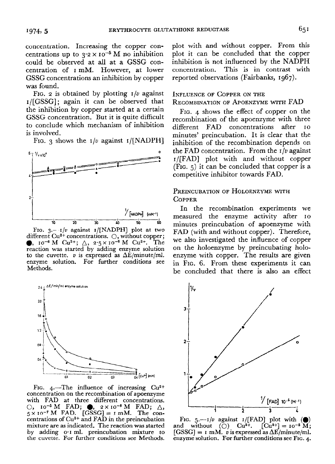concentration. Increasing the copper concentrations up to  $3.2 \times 10^{-5}$  M no inhibition could be observed at all at a **GSSG con**centration of I mM. However, at lower GSSG concentrations an inhibition by copper was found.

FIG. 2 is obtained by plotting  $I/v$  against I/[GSSG]; again it can be observed that the inhibition by copper started at a certain GSSG concentration. But it is quite difficult to conclude which mechanism of inhibition is involved.

FIG. 3 shows the  $I/v$  against  $I/[\text{NADPH}]$ 



**FIG. 3.-1/v** against I/[NADPH] plot at two different Cu<sup>2+</sup> concentrations.  $\bigcirc$ , without copper; **a**,  $10^{-6}$  M Cu<sup>2+</sup>;  $\Delta$ ,  $2.5 \times 10^{-6}$  M Cu<sup>2+</sup>. The reaction was started by adding enzyme solution to the cuvette.  $v$  is expressed as  $\Delta E/\text{minute}/\text{ml}$ . enzyme solution. For further conditions see Methods.



FIG. 4.<sup>-The</sup> influence of increasing Cu<sup>2+</sup> concentration on the recombination of apoenzyme with FAD at three different concentrations.  $\bigcirc$ , io<sup>-5</sup> M FAD;  $\bigcirc$ , 2×10<sup>-6</sup> M FAD;  $\bigtriangleup_{\!\! s}$ 5 x **10-7 M** FAD. [GSSG] = I mM. The concentrations of Cu2+ and FAD in the preincubation mixture are as indicated. The reaction was started by adding 0.1 ml. preincubation mixture to the cuvette. For further conditions see Methods.

plot with and without copper. From this plot it can be concluded that the copper inhibition is not influenced by the NADPH concentration. This is in contrast with reported observations (Fairbanks, 1967).

# INFLUENCE OF COPPER ON THE RECOMBINATION OF APOENZYME WITH FAD

FIG. 4 shows the effect of copper on the recombination of the apoenzyme with three different FAD concentrations after IO minutes' preincubation. It is clear that the inhibition of the recombination depends on the FAD concentration. From the  $I/v$  against r/[FAD] plot with and without copper (FIG. 5) it can be concluded that copper is a competitive inhibitor towards FAD.

# PREINCUBATION OF HOLOENZYME WITH **COPPER**

In the recombination experiments we measured the enzyme activity after IO minutes preincubation of apoenzyme with FAD (with and without copper). Therefore, we also investigated the influence of copper on the holoenzyme by preincubating holoenzyme with copper. The results are given in FIG. 6. From these experiments it can be concluded that there is also an effect



FIG. 5.— $1/v$  against  $1/[\text{FAD}]$  plot with ( $\bigcirc$ ) and without (0)  $Cu^{2+}$ .  $[Cu^{2+}] = 10^{-5} M$ ;  $[GSSG] = I \text{ mM. } v \text{ is expressed as } \Delta E/\text{minute/ml.}$ **enzyme solution. For further conditions see FIG. 4.**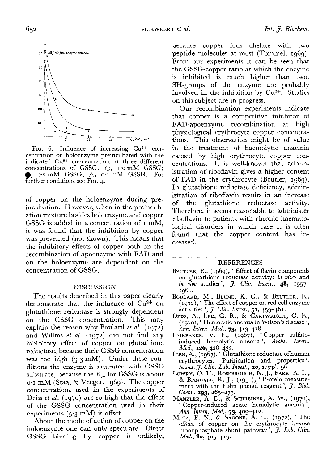

FIG.  $6$ .-Influence of increasing  $Cu^{2+}$  concentration on holoenzyme preincubated with the indicated Cu2+ concentration at three different concentrations of GSSG.  $\bigcirc$ , 1.0 mM GSSG;  $\bullet$ , 0.2 mM GSSG;  $\triangle$ , 0.1 mM GSSG. For further conditions see **FIG.** 4.

of copper on the holoenzyme during preincubation. However, when in the preincubation mixture besides holoenzyme and copper GSSG is added in a concentration of I mM, it was found that the inhibition by copper was prevented (not shown). This means that the inhibitory effects of copper both on the recombination of apoenzyme with FAD and on the holoenzyme are dependent on the concentration of GSSG.

#### DISCUSSION

The results described in this paper clearly demonstrate that the influence of Cu2+ on glutathione reductase is strongly dependent on the GSSG concentration. This may explain the reason why Boulard *et al. (1972)*  and Willms *et al. (1972)* did not find any inhibitory effect of copper on glutathione reductase, because their GSSG concentration was too high  $(3.3 \text{ mM})$ . Under these conditions the enzyme is saturated with GSSG substrate, because the  $K_m$  for GSSG is about 0, I mM (Staal & Veeger, 1969). The copper concentrations used in the experiments of Deiss *et* al. (1970) are so high that the effect of the GSSG concentration used in their experiments  $(5.3 \text{ mM})$  is offset.

About the mode of action of copper on the holoenzyme one can only speculate. Direct GSSG binding by copper is unlikely,

because copper ions chelate with two peptide molecules at most (Tommel, 1969). From our experiments it can be seen that the GSSG-copper ratio at which the enzyme is inhibited is much higher than two. SH-groups of the enzyme are probably involved in the inhibition by Cu2+. Studies on this subject are in progress.

Our recombination experiments indicate that copper is a competitive inhibitor of FAD-apoenzyme recombination at high physiological erythrocyte copper concentrations. This observation might be of value in the treatment of haemolytic anaemia caused by high erythrocyte copper concentrations. It is well-known that administration of riboflavin gives a higher content of FAD in the erythrocyte (Beutler, 1969). In glutathione reductase deficiency, administration of riboflavin results in an increase of the glutathione reductase activity. Therefore, it seems reasonable to administer riboflavin to patients with chronic haematological disorders in which case it is often found that the copper content has increased.

# **REFERENCES**

.\_\_\_ \_\_\_~\_ \_

- BEUTLER, E., *(1g6g), '* Effect of flavin compounds on glutathione reductase activity: in *vitro* and in vivo studies', *J. Clin. Invest.*, 48, 1957-1966.
- BOULARD, M., BLUME, K. G., & BEUTLER, E., *(1972)) '* The effect of copper on red cell enzyme activities ', 3. *Clin. Invest., 51, 459-461.*
- DEISS, A., LEE, G. R., & CARTWRIGHT, G. E., *( I g7o),* ' Hemolytic anemia in Wilson's disease ', *Ann. Intern. Med., 73,* 413-418.
- FAIRBANKS, V. F., (1967), Copper sulfateinduced hemolytic anemia ', *Archs. Intern. Med., IZO, 428-432.*
- Icén, A., (1967), ' Glutathione reductase of huma erythrocytes. Purification and properties ', *&and.* 3. *Clin. Lab. Invest., 20,* suppl. 96.
- LOWRY, O. H., ROSEBROUGH, N. J., FARR, A. L., & RANDALL, R. J., (1951), ' Protein measurement with the Folin phenol reagent',  $\tilde{\jmath}$ . *Biol. Chem., 193, 265-275.*
- Manzler, A. D., & Schreiner, A. W., (1970) ' Copper-induced acute hemolytic anemia ', *Ann. Intern. Med., 73, 409-412.*
- METZ, E. N., & SAGONE, A. L., (1972)) ' The effect of copper *on* the erythrocyte hexose monophosphate shunt pathway', *J. Lab. Clin. Med., 80,* 405-413.